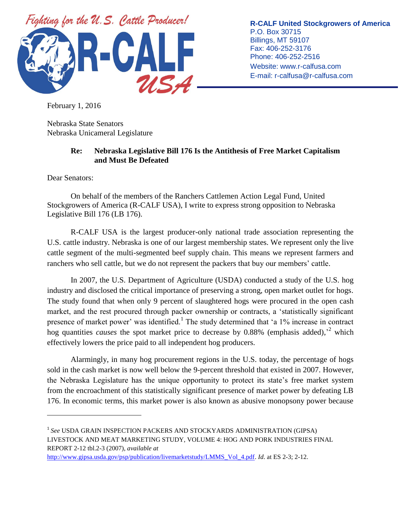

**R-CALF United Stockgrowers of America** P.O. Box 30715 Billings, MT 59107 Fax: 406-252-3176 Phone: 406-252-2516 Website: www.r-calfusa.com E-mail: r-calfusa@r-calfusa.com

February 1, 2016

Nebraska State Senators Nebraska Unicameral Legislature

## **Re: Nebraska Legislative Bill 176 Is the Antithesis of Free Market Capitalism and Must Be Defeated**

Dear Senators:

 $\overline{a}$ 

On behalf of the members of the Ranchers Cattlemen Action Legal Fund, United Stockgrowers of America (R-CALF USA), I write to express strong opposition to Nebraska Legislative Bill 176 (LB 176).

R-CALF USA is the largest producer-only national trade association representing the U.S. cattle industry. Nebraska is one of our largest membership states. We represent only the live cattle segment of the multi-segmented beef supply chain. This means we represent farmers and ranchers who sell cattle, but we do not represent the packers that buy our members' cattle.

In 2007, the U.S. Department of Agriculture (USDA) conducted a study of the U.S. hog industry and disclosed the critical importance of preserving a strong, open market outlet for hogs. The study found that when only 9 percent of slaughtered hogs were procured in the open cash market, and the rest procured through packer ownership or contracts, a 'statistically significant presence of market power' was identified.<sup>1</sup> The study determined that 'a 1% increase in contract hog quantities *causes* the spot market price to decrease by 0.88% (emphasis added),' <sup>2</sup> which effectively lowers the price paid to all independent hog producers.

Alarmingly, in many hog procurement regions in the U.S. today, the percentage of hogs sold in the cash market is now well below the 9-percent threshold that existed in 2007. However, the Nebraska Legislature has the unique opportunity to protect its state's free market system from the encroachment of this statistically significant presence of market power by defeating LB 176. In economic terms, this market power is also known as abusive monopsony power because

<sup>1</sup> *See* USDA GRAIN INSPECTION PACKERS AND STOCKYARDS ADMINISTRATION (GIPSA) LIVESTOCK AND MEAT MARKETING STUDY, VOLUME 4: HOG AND PORK INDUSTRIES FINAL REPORT 2-12 tbl.2-3 (2007), *available at*

[http://www.gipsa.usda.gov/psp/publication/livemarketstudy/LMMS\\_Vol\\_4.pdf.](http://www.gipsa.usda.gov/psp/publication/livemarketstudy/LMMS_Vol_4.pdf) *Id*. at ES 2-3; 2-12.